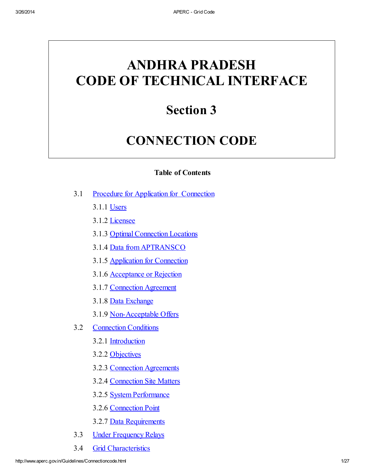# ANDHRA PRADESH CODE OF TECHNICAL INTERFACE

# Section 3

# CONNECTION CODE

# Table of Contents

- 3.1 Procedure for Application for Connection
	- 3.1.1 Users
	- 3.1.2 Licensee
	- 3.1.3 Optimal Connection Locations
	- 3.1.4 Data from APTRANSCO
	- 3.1.5 Application for Connection
	- 3.1.6 Acceptance or Rejection
	- 3.1.7 Connection Agreement
	- 3.1.8 Data Exchange
	- 3.1.9 Non-Acceptable Offers
- 3.2 Connection Conditions
	- 3.2.1 Introduction
	- 3.2.2 Objectives
	- 3.2.3 Connection [Agreements](#page-3-0)
	- 3.2.4 Connection Site Matters
	- 3.2.5 System Performance
	- 3.2.6 Connection Point
	- 3.2.7 Data Requirements
- 3.3 Under Frequency Relays
- 3.4 Grid Characteristics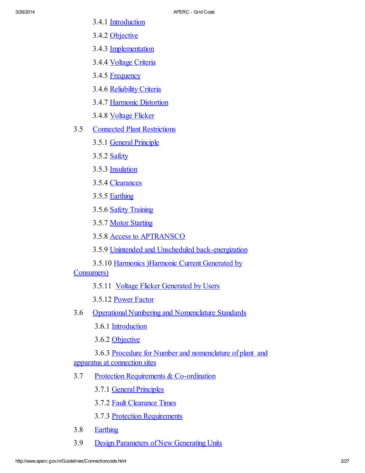- 3.4.1 Introduction
- 3.4.2 Objective
- 3.4.3 Implementation
- 3.4.4 Voltage Criteria
- 3.4.5 Frequency
- 3.4.6 Reliability Criteria
- 3.4.7 Harmonic Distortion
- 3.4.8 Voltage Flicker
- 3.5 Connected Plant Restrictions
	- 3.5.1 General [Principle](#page-13-0)
	- 3.5.2 **[Safety](#page-13-1)**
	- 3.5.3 Insulation
	- 3.5.4 Clearances
	- 3.5.5 [Earthing](#page-13-2)
	- 3.5.6 Safety [Training](#page-14-0)
	- 3.5.7 Motor Starting
	- 3.5.8 Access to [APTRANSCO](#page-14-1)
	- 3.5.9 Unintended and Unscheduled [back-energization](#page-14-2)
	- 3.5.10 Harmonics )Harmonic Current Generated by

Consumers)

- 3.5.11 Voltage Flicker Generated by Users
- 3.5.12 Power Factor
- 3.6 Operational Numbering and [Nomenclature](#page-17-0) Standards
	- 3.6.1 Introduction

3.6.2 Objective

3.6.3 Procedure for Number and nomenclature of plant and apparatus at connection sites

- 3.7 Protection Requirements & [Co-ordination](#page-18-0)
	- 3.7.1 General [Principles](#page-18-1)
	- 3.7.2 Fault [Clearance](#page-19-0) Times
	- 3.7.3 Protection Requirements
- 3.8 [Earthing](#page-24-0)
- 3.9 Design [Parameters](#page-24-1) of New Generating Units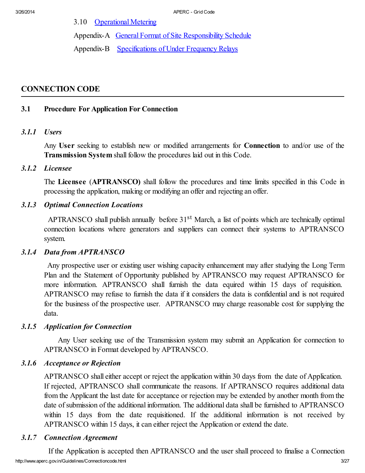3.10 [Operational](#page-25-0) Metering

Appendix-A General Format of Site [Responsibility](file:///C:/Inetpub/wwwroot/ercap_19Oct05/licencing/ccappendixA.doc) Schedule

Appendix-B [Specifications](file:///C:/Inetpub/wwwroot/ercap_19Oct05/licencing/ccappendixB.doc) of Under Frequency Relays

# CONNECTION CODE

## **3.1 Procedure For Application For Connection**

#### *3.1.1 Users*

Any User seeking to establish new or modified arrangements for Connection to and/or use of the Transmission System shall follow the procedures laid out in this Code.

# *3.1.2 Licensee*

The Licensee (APTRANSCO) shall follow the procedures and time limits specified in this Code in processing the application, making or modifying an offer and rejecting an offer.

# *3.1.3 Optimal Connection Locations*

APTRANSCO shall publish annually before 31<sup>st</sup> March, a list of points which are technically optimal connection locations where generators and suppliers can connect their systems to APTRANSCO system.

# *3.1.4 Data from APTRANSCO*

Any prospective user or existing user wishing capacity enhancement may after studying the Long Term Plan and the Statement of Opportunity published by APTRANSCO may request APTRANSCO for more information. APTRANSCO shall furnish the data equired within 15 days of requisition. APTRANSCO may refuse to furnish the data if it considers the data is confidential and is not required for the business of the prospective user. APTRANSCO may charge reasonable cost for supplying the data.

#### *3.1.5 Application for Connection*

Any User seeking use of the Transmission system may submit an Application for connection to APTRANSCO in Format developed by APTRANSCO.

#### *3.1.6 Acceptance or Rejection*

APTRANSCO shall either accept or reject the application within 30 days from the date of Application. If rejected, APTRANSCO shall communicate the reasons. If APTRANSCO requires additional data from the Applicant the last date for acceptance or rejection may be extended by another month from the date of submission of the additional information. The additional data shall be furnished to APTRANSCO within 15 days from the date requisitioned. If the additional information is not received by APTRANSCO within 15 days, it can either reject the Application or extend the date.

# *3.1.7 Connection Agreement*

http://www.aperc.gov.in/Guidelines/Connectioncode.html 3/27 If the Application is accepted then APTRANSCO and the user shall proceed to finalise a Connection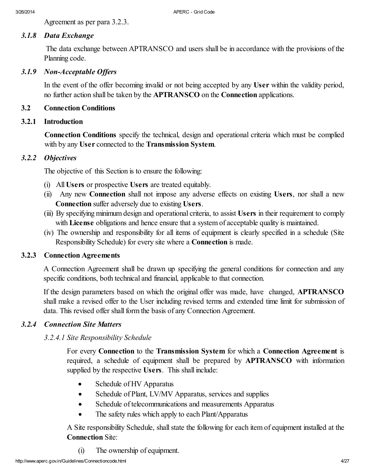Agreement as per para 3.2.3.

## *3.1.8 Data Exchange*

The data exchange between APTRANSCO and users shall be in accordance with the provisions of the Planning code.

#### *3.1.9 Non-Acceptable Of ers*

In the event of the offer becoming invalid or not being accepted by any User within the validity period, no further action shall be taken by the APTRANSCO on the Connection applications.

### **3.2 Connection Conditions**

## *3.2.1 Introduction*

Connection Conditions specify the technical, design and operational criteria which must be complied with by any User connected to the Transmission System.

# *3.2.2 Objectives*

The objective of this Section is to ensure the following:

- (i) All Users or prospective Users are treated equitably.
- (ii) Any new Connection shall not impose any adverse effects on existing Users, nor shall a new Connection suffer adversely due to existing Users.
- (iii) By specifying minimum design and operational criteria, to assist Users in their requirement to comply with License obligations and hence ensure that a system of acceptable quality is maintained.
- (iv) The ownership and responsibility for all items of equipment is clearly specified in a schedule (Site Responsibility Schedule) for every site where a Connection is made.

#### *3.2.3 Connection Agreements*

<span id="page-3-0"></span>A Connection Agreement shall be drawn up specifying the general conditions for connection and any specific conditions, both technical and financial, applicable to that connection.

If the design parameters based on which the original offer was made, have changed, **APTRANSCO** shall make a revised offer to the User including revised terms and extended time limit for submission of data. This revised offer shall form the basis of any Connection Agreement.

# *3.2.4 Connection Site Matters*

# *3.2.4.1 Site Responsibility Schedule*

For every Connection to the Transmission System for which a Connection Agreement is required, a schedule of equipment shall be prepared by **APTRANSCO** with information supplied by the respective Users. This shall include:

- Schedule of HV Apparatus
- Schedule of Plant, LV/MV Apparatus, services and supplies
- · Schedule of telecommunications and measurements Apparatus
- The safety rules which apply to each Plant/Apparatus

A Site responsibility Schedule, shall state the following for each item of equipment installed at the Connection Site:

(i) The ownership of equipment.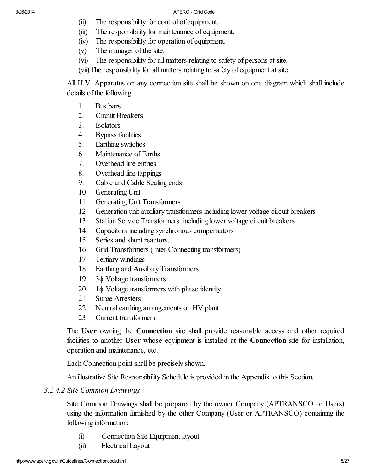- (ii) The responsibility for control of equipment.
- (iii) The responsibility for maintenance of equipment.
- (iv) The responsibility for operation of equipment.
- (v) The manager of the site.
- (vi) The responsibility for all matters relating to safety of persons at site.

(vii)The responsibility for all matters relating to safety of equipment at site.

All H.V. Apparatus on any connection site shall be shown on one diagram which shall include details of the following.

- 1. Bus bars
- 2. Circuit Breakers
- 3. Isolators
- 4. Bypass facilities
- 5. Earthing switches
- 6. Maintenance of Earths
- 7. Overhead line entries
- 8. Overhead line tappings
- 9. Cable and Cable Sealing ends
- 10. Generating Unit
- 11. Generating Unit Transformers
- 12. Generation unit auxiliary transformers including lower voltage circuit breakers
- 13. Station Service Transformers including lower voltage circuit breakers
- 14. Capacitors including synchronous compensators
- 15. Series and shunt reactors.
- 16. Grid Transformers (Inter Connecting transformers)
- 17. Tertiary windings
- 18. Earthing and Auxiliary Transformers
- 19.  $3\phi$  Voltage transformers
- 20.  $1\phi$  Voltage transformers with phase identity
- 21. Surge Arresters
- 22. Neutral earthing arrangements on HV plant
- 23. Current transformers

The User owning the Connection site shall provide reasonable access and other required facilities to another User whose equipment is installed at the Connection site for installation, operation and maintenance, etc.

Each Connection point shall be precisely shown.

An illustrative Site Responsibility Schedule is provided in the Appendix to this Section.

# *3.2.4.2 Site Common Drawings*

Site Common Drawings shall be prepared by the owner Company (APTRANSCO or Users) using the information furnished by the other Company (User or APTRANSCO) containing the following information:

- (i) Connection Site Equipment layout
- (ii) Electrical Layout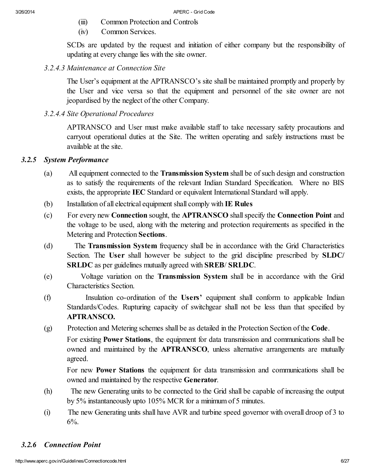- (iii) Common Protection and Controls
- (iv) Common Services.

SCDs are updated by the request and initiation of either company but the responsibility of updating at every change lies with the site owner.

*3.2.4.3 Maintenance at Connection Site*

The User's equipment at the APTRANSCO's site shall be maintained promptly and properly by the User and vice versa so that the equipment and personnel of the site owner are not jeopardised by the neglect of the other Company.

# *3.2.4.4 Site Operational Procedures*

APTRANSCO and User must make available staff to take necessary safety procautions and carryout operational duties at the Site. The written operating and safely instructions must be available at the site.

# *3.2.5 System Performance*

- (a) All equipment connected to the Transmission System shall be ofsuch design and construction as to satisfy the requirements of the relevant Indian Standard Specification. Where no BIS exists, the appropriate IEC Standard or equivalent International Standard will apply.
- (b) Installation of all electrical equipment shall comply with IE Rules
- (c) For every new **Connection** sought, the **APTRANSCO** shall specify the **Connection Point** and the voltage to be used, along with the metering and protection requirements as specified in the Metering and Protection Sections.
- (d) The Transmission System frequency shall be in accordance with the Grid Characteristics Section. The User shall however be subject to the grid discipline prescribed by SLDC/ SRLDC as per guidelines mutually agreed with SREB/ SRLDC.
- (e) Voltage variation on the Transmission System shall be in accordance with the Grid Characteristics Section.
- (f) Insulation co-ordination of the Users' equipment shall conform to applicable Indian Standards/Codes. Rupturing capacity of switchgear shall not be less than that specified by **APTRANSCO.**
- (g) Protection and Metering schemes shall be as detailed in the Protection Section of the Code.

For existing Power Stations, the equipment for data transmission and communications shall be owned and maintained by the **APTRANSCO**, unless alternative arrangements are mutually agreed.

For new Power Stations the equipment for data transmission and communications shall be owned and maintained by the respective Generator.

- (h) The new Generating units to be connected to the Grid shall be capable of increasing the output by 5% instantaneously upto 105% MCR for a minimum of 5 minutes.
- (i) The new Generating units shall have AVR and turbine speed governor with overall droop of 3 to  $6\%$ .

# *3.2.6 Connection Point*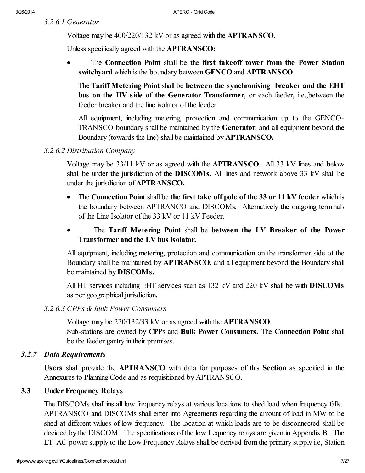*3.2.6.1 Generator*

Voltage may be 400/220/132 kV or as agreed with the **APTRANSCO**.

Unless specifically agreed with the **APTRANSCO**:

The Connection Point shall be the first takeoff tower from the Power Station switchyard which is the boundary between GENCO and APTRANSCO

The Tariff Metering Point shall be between the synchronising breaker and the EHT bus on the HV side of the Generator Transformer, or each feeder, i.e., between the feeder breaker and the line isolator of the feeder.

All equipment, including metering, protection and communication up to the GENCO-TRANSCO boundary shall be maintained by the Generator, and all equipment beyond the Boundary (towards the line) shall be maintained by **APTRANSCO**.

# *3.2.6.2 Distribution Company*

Voltage may be 33/11 kV or as agreed with the **APTRANSCO**. All 33 kV lines and below shall be under the jurisdiction of the DISCOMs. All lines and network above 33 kV shall be under the jurisdiction of APTRANSCO.

- The Connection Point shall be the first take off pole of the 33 or 11 kV feeder which is the boundary between APTRANCO and DISCOMs*.* Alternatively the outgoing terminals of the Line Isolator of the 33 kV or 11 kV Feeder.
- · The Tariff Metering Point shall be between the LV Breaker of the Power Transformer and the LV bus isolator.

All equipment, including metering, protection and communication on the transformer side of the Boundary shall be maintained by **APTRANSCO**, and all equipment beyond the Boundary shall be maintained by DISCOMs.

All HT services including EHT services such as 132 kV and 220 kV shall be with DISCOMs as per geographical jurisdiction.

# *3.2.6.3 CPPs & Bulk Power Consumers*

Voltage may be 220/132/33 kV or as agreed with the **APTRANSCO**.

Sub-stations are owned by CPPs and Bulk Power Consumers. The Connection Point shall be the feeder gantry in their premises.

# *3.2.7 Data Requirements*

Users shall provide the **APTRANSCO** with data for purposes of this Section as specified in the Annexures to Planning Code and as requisitioned by APTRANSCO.

# 3.3 Under Frequency Relays

The DISCOMs shall install low frequency relays at various locations to shed load when frequency falls. APTRANSCO and DISCOMs shall enter into Agreements regarding the amount of load in MW to be shed at different values of low frequency. The location at which loads are to be disconnected shall be decided by the DISCOM. The specifications of the low frequency relays are given in Appendix B. The LT AC power supply to the Low Frequency Relays shall be derived from the primary supply i.e, Station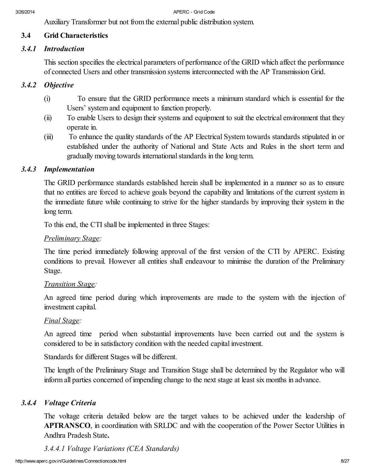Auxiliary Transformer but not from the external public distribution system.

# **3.4 Grid Characteristics**

## *3.4.1 Introduction*

This section specifies the electrical parameters of performance of the GRID which affect the performance of connected Users and other transmission systems interconnected with the AP Transmission Grid.

# *3.4.2 Objective*

- (i) To ensure that the GRID performance meets a minimum standard which is essential for the Users' system and equipment to function properly.
- (ii) To enable Users to design their systems and equipment to suit the electrical environment that they operate in.
- (iii) To enhance the quality standards of the AP Electrical System towards standards stipulated in or established under the authority of National and State Acts and Rules in the short term and gradually moving towards internationalstandards in the long term.

# *3.4.3 Implementation*

The GRID performance standards established herein shall be implemented in a manner so as to ensure that no entities are forced to achieve goals beyond the capability and limitations of the current system in the immediate future while continuing to strive for the higher standards by improving their system in the long term.

To this end, the CTI shall be implemented in three Stages:

#### *Preliminary Stage:*

The time period immediately following approval of the first version of the CTI by APERC. Existing conditions to prevail. However all entities shall endeavour to minimise the duration of the Preliminary Stage.

#### *Transition Stage:*

An agreed time period during which improvements are made to the system with the injection of investment capital.

#### *Final Stage:*

An agreed time period when substantial improvements have been carried out and the system is considered to be in satisfactory condition with the needed capital investment.

Standards for different Stages will be different.

The length of the Preliminary Stage and Transition Stage shall be determined by the Regulator who will inform all parties concerned of impending change to the next stage at least six months in advance.

# *3.4.4 Voltage Criteria*

The voltage criteria detailed below are the target values to be achieved under the leadership of **APTRANSCO**, in coordination with SRLDC and with the cooperation of the Power Sector Utilities in Andhra Pradesh State.

*3.4.4.1 Voltage Variations (CEA Standards)*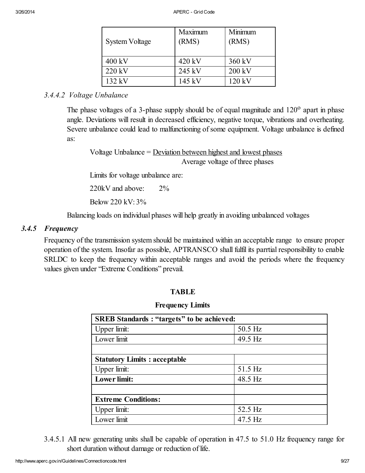| System Voltage | Maximum<br>(RMS) | Minimum<br>(RMS) |
|----------------|------------------|------------------|
| 400 kV         | $420 \text{ kV}$ | 360 kV           |
| 220 kV         | 245 kV           | 200 kV           |
| $132$ kV       | 145 kV           | 120 kV           |

# *3.4.4.2 Voltage Unbalance*

The phase voltages of a 3-phase supply should be of equal magnitude and  $120^{\circ}$  apart in phase angle. Deviations will result in decreased efficiency, negative torque, vibrations and overheating. Severe unbalance could lead to malfunctioning of some equipment. Voltage unbalance is defined as:

Voltage Unbalance  $=$  Deviation between highest and lowest phases Average voltage of three phases

Limits for voltage unbalance are:

220kV and above: 2%

Below 220 kV: 3%

Balancing loads on individual phases will help greatly in avoiding unbalanced voltages

## *3.4.5 Frequency*

Frequency of the transmission system should be maintained within an acceptable range to ensure proper operation of the system. Insofar as possible, APTRANSCO shall fulfil its parrtial responsibility to enable SRLDC to keep the frequency within acceptable ranges and avoid the periods where the frequency values given under "Extreme Conditions" prevail.

# TABLE

#### Frequency Limits

| <b>SREB Standards: "targets" to be achieved:</b> |           |  |
|--------------------------------------------------|-----------|--|
| Upper limit:                                     | 50.5 Hz   |  |
| Lower limit                                      | 49.5 Hz   |  |
|                                                  |           |  |
| <b>Statutory Limits: acceptable</b>              |           |  |
| Upper limit:                                     | 51.5 Hz   |  |
| Lower limit:                                     | 48.5 Hz   |  |
|                                                  |           |  |
| <b>Extreme Conditions:</b>                       |           |  |
| Upper limit:                                     | 52.5 Hz   |  |
| Lower limit                                      | $47.5$ Hz |  |

3.4.5.1 All new generating units shall be capable of operation in 47.5 to 51.0 Hz frequency range for short duration without damage or reduction of life.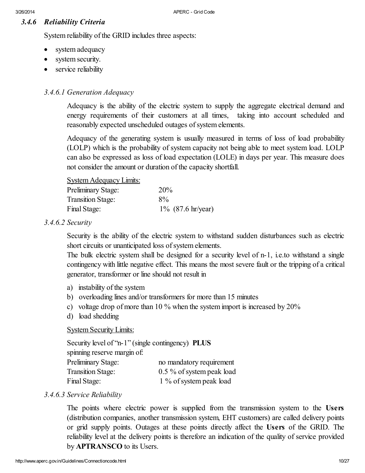# *3.4.6 Reliability Criteria*

System reliability of the GRID includes three aspects:

- system adequacy
- system security.
- service reliability

### *3.4.6.1 Generation Adequacy*

Adequacy is the ability of the electric system to supply the aggregate electrical demand and energy requirements of their customers at all times, taking into account scheduled and reasonably expected unscheduled outages of system elements.

Adequacy of the generating system is usually measured in terms of loss of load probability (LOLP) which is the probability of system capacity not being able to meet system load. LOLP can also be expressed as loss of load expectation (LOLE) in days per year. This measure does not consider the amount or duration of the capacity shortfall.

#### System Adequacy Limits:

| <b>Preliminary Stage:</b> | 20%                  |
|---------------------------|----------------------|
| <b>Transition Stage:</b>  | 8%                   |
| Final Stage:              | $1\%$ (87.6 hr/year) |

#### *3.4.6.2 Security*

Security is the ability of the electric system to withstand sudden disturbances such as electric short circuits or unanticipated loss of system elements.

The bulk electric system shall be designed for a security level of n-1, i.e. to withstand a single contingency with little negative effect. This means the most severe fault or the tripping of a critical generator, transformer or line should not result in

- a) instability of the system
- b) overloading lines and/or transformers for more than 15 minutes
- c) voltage drop of more than 10 % when the system import is increased by 20%
- d) load shedding

#### System Security Limits:

Security level of "n-1" (single contingency) PLUS spinning reserve margin of: Preliminary Stage: no mandatory requirement Transition Stage: 0.5 % of system peak load Final Stage: 1 % of system peak load

#### *3.4.6.3 Service Reliability*

The points where electric power is supplied from the transmission system to the Users (distribution companies, another transmission system, EHT customers) are called delivery points or grid supply points. Outages at these points directly affect the Users of the GRID. The reliability level at the delivery points is therefore an indication of the quality of service provided by APTRANSCO to its Users.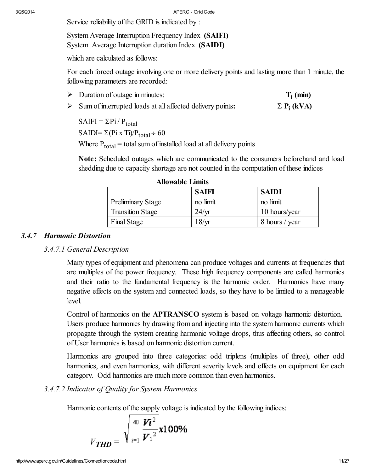Service reliability of the GRID is indicated by :

System Average Interruption Frequency Index (SAIFI) System Average Interruption duration Index (SAIDI)

which are calculated as follows:

For each forced outage involving one or more delivery points and lasting more than 1 minute, the following parameters are recorded:

- $\triangleright$  Duration of outage in minutes:  $T_i$  (min)
- $\triangleright$  Sum of interrupted loads at all affected delivery points:  $\Sigma P_i$  (kVA)

 $SAIFI = \sum P_i / P_{total}$ SAIDI=  $\Sigma$ (Pi x Ti)/P<sub>total</sub> ÷ 60 Where  $P_{total}$  = total sum of installed load at all delivery points

Note: Scheduled outages which are communicated to the consumers beforehand and load shedding due to capacity shortage are not counted in the computation of these indices

| Aliowadie Littius        |                 |                |
|--------------------------|-----------------|----------------|
|                          | <b>SAIFI</b>    | <b>SAIDI</b>   |
| <b>Preliminary Stage</b> | no limit        | no limit       |
| <b>Transition Stage</b>  | $24/\text{yr}$  | 10 hours/year  |
| Final Stage              | $8/\mathrm{yr}$ | 8 hours / year |

### Allowable Limits

### *3.4.7 Harmonic Distortion*

# *3.4.7.1 General Description*

Many types of equipment and phenomena can produce voltages and currents at frequencies that are multiples of the power frequency. These high frequency components are called harmonics and their ratio to the fundamental frequency is the harmonic order. Harmonics have many negative effects on the system and connected loads, so they have to be limited to a manageable level.

Control of harmonics on the APTRANSCO system is based on voltage harmonic distortion. Users produce harmonics by drawing from and injecting into the system harmonic currents which propagate through the system creating harmonic voltage drops, thus affecting others, so control of User harmonics is based on harmonic distortion current.

Harmonics are grouped into three categories: odd triplens (multiples of three), other odd harmonics, and even harmonics, with different severity levels and effects on equipment for each category. Odd harmonics are much more common than even harmonics.

# *3.4.7.2 Indicator of Quality for System Harmonics*

Harmonic contents of the supply voltage is indicated by the following indices:

$$
V_{\text{THD}} = \sqrt{\frac{40}{\mu_1}} \frac{V \hat{i}^2}{V_1^2} \times 100\%
$$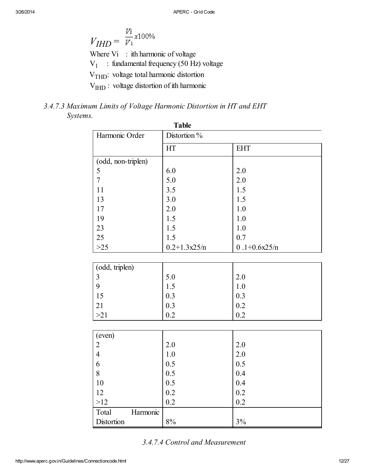$$
V_{IHD} = \frac{V_{\bar{t}}}{V_1} \times 100\%
$$
  
Where Vi : ith harmonic of voltage  
V<sub>1</sub> : fundamental frequency (50 Hz) voltage  
V<sub>THD</sub>: voltage total harmonic distortion  
V<sub>HID</sub>: voltage distortion of ith harmonic

# *3.4.7.3 Maximum Limits of Voltage Harmonic Distortion in HT and EHT Systems.*

| <b>Table</b>                   |                  |                  |  |
|--------------------------------|------------------|------------------|--|
| Harmonic Order<br>Distortion % |                  |                  |  |
|                                | HT               | <b>EHT</b>       |  |
| (odd, non-triplen)             |                  |                  |  |
| 5                              | 6.0              | 2.0              |  |
| $\overline{7}$                 | 5.0              | 2.0              |  |
| 11                             | 3.5              | 1.5              |  |
| 13                             | 3.0              | 1.5              |  |
| 17                             | 2.0              | 1.0              |  |
| 19                             | 1.5              | 1.0              |  |
| 23                             | 1.5              | 1.0              |  |
| 25                             | 1.5              | 0.7              |  |
| $>25$                          | $0.2 + 1.3x25/n$ | $0.1 + 0.6x25/n$ |  |
|                                |                  |                  |  |
| (odd, triplen)                 |                  |                  |  |
| $\mathfrak{Z}$                 | 5.0              | 2.0              |  |
| 9                              | 1.5              | 1.0              |  |
| 15                             | 0.3              | 0.3              |  |
| 21                             | 0.3              | 0.2              |  |
| >21                            | 0.2              | 0.2              |  |
|                                |                  |                  |  |
| (even)                         |                  |                  |  |
| $\overline{c}$                 | 2.0              | 2.0              |  |
| $\overline{4}$                 | 1.0              | 2.0              |  |
| 6                              | 0.5              | 0.5              |  |
| 8                              | 0.5              | 0.4              |  |
| 10                             | 0.5              | 0.4              |  |
| 12                             | 0.2              | 0.2              |  |
| >12                            | 0.2              | 0.2              |  |
| Total<br>Harmonic              |                  |                  |  |
| Distortion                     | $8\%$            | 3%               |  |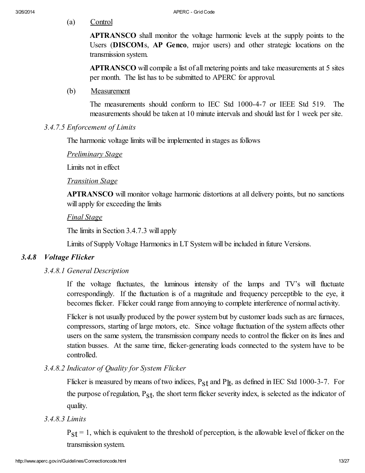(a) Control

APTRANSCO shall monitor the voltage harmonic levels at the supply points to the Users (DISCOMs, AP Genco, major users) and other strategic locations on the transmission system.

APTRANSCO will compile a list of all metering points and take measurements at 5 sites per month. The list has to be submitted to APERC for approval.

(b) Measurement

The measurements should conform to IEC Std 1000-4-7 or IEEE Std 519. The measurements should be taken at 10 minute intervals and should last for 1 week per site.

# *3.4.7.5 Enforcement of Limits*

The harmonic voltage limits will be implemented in stages as follows

*Preliminary Stage*

Limits not in effect

## *Transition Stage*

APTRANSCO will monitor voltage harmonic distortions at all delivery points, but no sanctions will apply for exceeding the limits

# *Final Stage*

The limits in Section 3.4.7.3 will apply

Limits of Supply Voltage Harmonics in LT System will be included in future Versions.

# *3.4.8 Voltage Flicker*

# *3.4.8.1 General Description*

If the voltage fluctuates, the luminous intensity of the lamps and TV's will fluctuate correspondingly. If the fluctuation is of a magnitude and frequency perceptible to the eye, it becomes flicker. Flicker could range from annoying to complete interference of normal activity.

Flicker is not usually produced by the power system but by customer loads such as arc furnaces, compressors, starting of large motors, etc. Since voltage fluctuation of the system affects other users on the same system, the transmission company needs to control the flicker on its lines and station busses. At the same time, flicker-generating loads connected to the system have to be controlled.

# *3.4.8.2 Indicator of Quality for System Flicker*

Flicker is measured by means of two indices,  $P_{S}t$  and  $P_{I}t$ , as defined in IEC Std 1000-3-7. For the purpose of regulation,  $P_{st}$ , the short term flicker severity index, is selected as the indicator of quality.

# *3.4.8.3 Limits*

 $P_{\rm{S}}t = 1$ , which is equivalent to the threshold of perception, is the allowable level of flicker on the transmission system.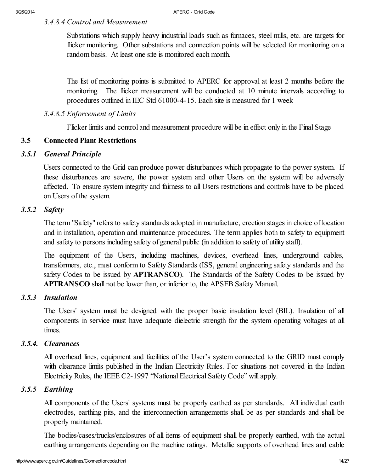# *3.4.8.4 Control and Measurement*

Substations which supply heavy industrial loads such as furnaces, steel mills, etc. are targets for flicker monitoring. Other substations and connection points will be selected for monitoring on a random basis. At least one site is monitored each month.

The list of monitoring points is submitted to APERC for approval at least 2 months before the monitoring. The flicker measurement will be conducted at 10 minute intervals according to procedures outlined in IEC Std 61000-4-15. Each site is measured for 1 week

### *3.4.8.5 Enforcement of Limits*

Flicker limits and control and measurement procedure will be in effect only in the Final Stage

## **3.5 Connected Plant Restrictions**

#### *3.5.1 General Principle*

<span id="page-13-0"></span>Users connected to the Grid can produce power disturbances which propagate to the power system. If these disturbances are severe, the power system and other Users on the system will be adversely affected. To ensure system integrity and fairness to all Users restrictions and controls have to be placed on Users of the system.

## *3.5.2 Safety*

<span id="page-13-1"></span>The term "Safety" refers to safety standards adopted in manufacture, erection stages in choice of location and in installation, operation and maintenance procedures. The term applies both to safety to equipment and safety to persons including safety of general public (in addition to safety of utility staff).

The equipment of the Users, including machines, devices, overhead lines, underground cables, transformers, etc., must conform to Safety Standards (ISS, general engineering safety standards and the safety Codes to be issued by **APTRANSCO**). The Standards of the Safety Codes to be issued by **APTRANSCO** shall not be lower than, or inferior to, the APSEB Safety Manual.

#### *3.5.3 Insulation*

The Users' system must be designed with the proper basic insulation level (BIL). Insulation of all components in service must have adequate dielectric strength for the system operating voltages at all times.

#### *3.5.4. Clearances*

All overhead lines, equipment and facilities of the User's system connected to the GRID must comply with clearance limits published in the Indian Electricity Rules. For situations not covered in the Indian Electricity Rules, the IEEE C2-1997 "National Electrical Safety Code" will apply.

# *3.5.5 Earthing*

<span id="page-13-2"></span>All components of the Users' systems must be properly earthed as per standards. All individual earth electrodes, earthing pits, and the interconnection arrangements shall be as per standards and shall be properly maintained.

The bodies/cases/trucks/enclosures of all items of equipment shall be properly earthed, with the actual earthing arrangements depending on the machine ratings. Metallic supports of overhead lines and cable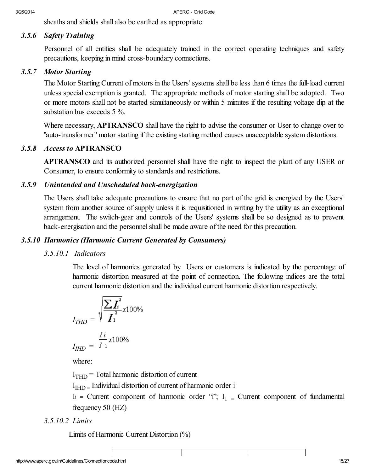<span id="page-14-0"></span>sheaths and shields shall also be earthed as appropriate.

# *3.5.6 Safety Training*

Personnel of all entities shall be adequately trained in the correct operating techniques and safety precautions, keeping in mind cross-boundary connections.

## *3.5.7 Motor Starting*

The Motor Starting Current of motors in the Users' systems shall be less than 6 times the full-load current unless special exemption is granted. The appropriate methods of motor starting shall be adopted. Two or more motors shall not be started simultaneously or within 5 minutes if the resulting voltage dip at the substation bus exceeds 5 %.

Where necessary, **APTRANSCO** shall have the right to advise the consumer or User to change over to "auto-transformer"motor starting if the existing starting method causes unacceptable system distortions.

# *3.5.8 Access to APTRANSCO*

<span id="page-14-1"></span>**APTRANSCO** and its authorized personnel shall have the right to inspect the plant of any USER or Consumer, to ensure conformity to standards and restrictions.

# <span id="page-14-2"></span>*3.5.9 Unintended and Unscheduled back-energization*

The Users shall take adequate precautions to ensure that no part of the grid is energized by the Users' system from another source of supply unless it is requisitioned in writing by the utility as an exceptional arrangement. The switch-gear and controls of the Users' systems shall be so designed as to prevent back-energisation and the personnel shall be made aware of the need for this precaution.

# *3.5.10 Harmonics (Harmonic Current Generated by Consumers)*

# *3.5.10.1 Indicators*

The level of harmonics generated by Users or customers is indicated by the percentage of harmonic distortion measured at the point of connection. The following indices are the total current harmonic distortion and the individual current harmonic distortion respectively.

$$
I_{THD} = \sqrt{\frac{\sum I_i^2}{I_1^2}} \times 100\%
$$

$$
I_{HHD} = \frac{I_i}{I_1} \times 100\%
$$

where:

 $I<sub>THD</sub>$  = Total harmonic distortion of current

I<sub>IHD</sub> = Individual distortion of current of harmonic order i

Ii = Current component of harmonic order "i";  $I_1$  = Current component of fundamental frequency 50 (HZ)

*3.5.10.2 Limits*

Limits of Harmonic Current Distortion (%)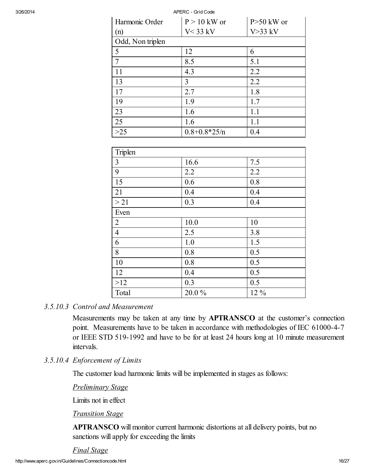| 3/26/2014 |                  | APERC - Grid Code  |                |
|-----------|------------------|--------------------|----------------|
|           | Harmonic Order   | $P > 10$ kW or     | $P > 50$ kW or |
|           | (n)              | $V < 33$ kV        | $V > 33$ kV    |
|           | Odd, Non triplen |                    |                |
|           | 5                | 12                 | 6              |
|           | $\overline{7}$   | 8.5                | 5.1            |
|           | 11               | 4.3                | 2.2            |
|           | 13               | $\overline{3}$     | 2.2            |
|           | 17               | 2.7                | 1.8            |
|           | 19               | 1.9                | 1.7            |
|           | 23               | 1.6                | 1.1            |
|           | 25               | 1.6                | 1.1            |
|           | $>25$            | $0.8 + 0.8 * 25/n$ | 0.4            |
|           |                  |                    |                |
|           | Triplen          |                    |                |
|           | $\overline{3}$   | 16.6               | 7.5            |
|           | 9                | 2.2                | 2.2            |
|           | 15               | 0.6                | 0.8            |
|           | 21               | 0.4                | 0.4            |
|           | >21              | 0.3                | 0.4            |
|           | Even             |                    |                |
|           | $\overline{2}$   | 10.0               | 10             |
|           | $\overline{4}$   | 2.5                | 3.8            |

#### *3.5.10.3 Control and Measurement*

Measurements may be taken at any time by **APTRANSCO** at the customer's connection point. Measurements have to be taken in accordance with methodologies of IEC 61000-4-7 or IEEE STD 519-1992 and have to be for at least 24 hours long at 10 minute measurement intervals.

#### *3.5.10.4 Enforcement of Limits*

The customer load harmonic limits will be implemented in stages as follows:

6 1.0 1.5 8 0.8 0.5 10 0.8 0.5 12 0.4 0.5  $>12$  0.3 0.5 Total  $20.0\%$  12 %

*Preliminary Stage*

Limits not in effect

#### *Transition Stage*

APTRANSCO will monitor current harmonic distortions at all delivery points, but no sanctions will apply for exceeding the limits

*Final Stage*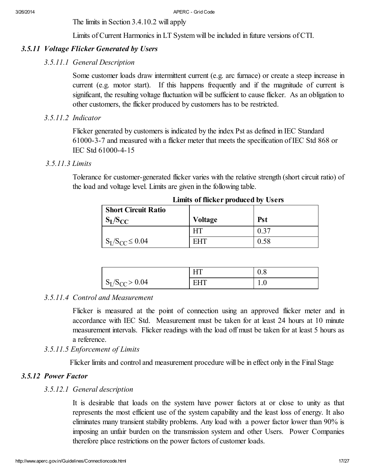The limits in Section 3.4.10.2 will apply

Limits of Current Harmonics in LT System will be included in future versions of CTI.

# *3.5.11 Voltage Flicker Generated by Users*

# *3.5.11.1 General Description*

Some customer loads draw intermittent current (e.g. arc furnace) or create a steep increase in current (e.g. motor start). If this happens frequently and if the magnitude of current is significant, the resulting voltage fluctuation will be sufficient to cause flicker. As an obligation to other customers, the flicker produced by customers has to be restricted.

# *3.5.11.2 Indicator*

Flicker generated by customers is indicated by the index Pst as defined in IEC Standard 61000-3-7 and measured with a flicker meter that meets the specification of IEC Std 868 or IEC Std 61000-4-15

# *3.5.11.3 Limits*

Tolerance for customer-generated flicker varies with the relative strength (short circuit ratio) of the load and voltage level. Limits are given in the following table.

| <b>Short Circuit Ratio</b><br>$S_L/S_{CC}$ | <b>Voltage</b> | <b>Pst</b> |
|--------------------------------------------|----------------|------------|
|                                            |                | 0.37       |
| $S_I/S_{CC} \leq 0.04$                     | <b>EHT</b>     | 0.58       |

Limits of flicker produced by Users

|                       |        | v.v |
|-----------------------|--------|-----|
| $S_{L}/S_{CC} > 0.04$ | Н<br>н | .   |

# *3.5.11.4 Control and Measurement*

Flicker is measured at the point of connection using an approved flicker meter and in accordance with IEC Std. Measurement must be taken for at least 24 hours at 10 minute measurement intervals. Flicker readings with the load off must be taken for at least 5 hours as a reference.

# *3.5.11.5 Enforcement of Limits*

Flicker limits and control and measurement procedure will be in effect only in the Final Stage

# *3.5.12 Power Factor*

# *3.5.12.1 General description*

It is desirable that loads on the system have power factors at or close to unity as that represents the most efficient use of the system capability and the least loss of energy. It also eliminates many transient stability problems. Any load with a power factor lower than 90% is imposing an unfair burden on the transmission system and other Users. Power Companies therefore place restrictions on the power factors of customer loads.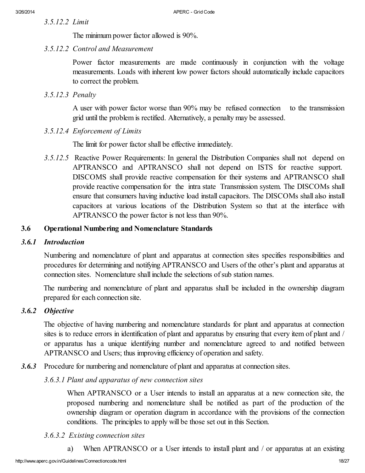*3.5.12.2 Limit*

The minimum power factor allowed is 90%.

*3.5.12.2 Control and Measurement*

Power factor measurements are made continuously in conjunction with the voltage measurements. Loads with inherent low power factors should automatically include capacitors to correct the problem.

*3.5.12.3 Penalty*

A user with power factor worse than 90% may be refused connection to the transmission grid until the problem is rectified. Alternatively, a penalty may be assessed.

*3.5.12.4 Enforcement of Limits*

The limit for power factor shall be effective immediately.

*3.5.12.5* Reactive Power Requirements: In general the Distribution Companies shall not depend on APTRANSCO and APTRANSCO shall not depend on ISTS for reactive support. DISCOMS shall provide reactive compensation for their systems and APTRANSCO shall provide reactive compensation for the intra state Transmission system. The DISCOMs shall ensure that consumers having inductive load install capacitors. The DISCOMs shall also install capacitors at various locations of the Distribution System so that at the interface with APTRANSCO the power factor is not less than 90%.

#### <span id="page-17-0"></span>**3.6 Operational Numbering and Nomenclature Standards**

#### *3.6.1 Introduction*

Numbering and nomenclature of plant and apparatus at connection sites specifies responsibilities and procedures for determining and notifying APTRANSCO and Users of the other's plant and apparatus at connection sites. Nomenclature shall include the selections of sub station names.

The numbering and nomenclature of plant and apparatus shall be included in the ownership diagram prepared for each connection site.

#### *3.6.2 Objective*

The objective of having numbering and nomenclature standards for plant and apparatus at connection sites is to reduce errors in identification of plant and apparatus by ensuring that every item of plant and / or apparatus has a unique identifying number and nomenclature agreed to and notified between APTRANSCO and Users; thus improving efficiency of operation and safety.

*3.6.3* Procedure for numbering and nomenclature of plant and apparatus at connection sites.

*3.6.3.1 Plant and apparatus of new connection sites*

When APTRANSCO or a User intends to install an apparatus at a new connection site, the proposed numbering and nomenclature shall be notified as part of the production of the ownership diagram or operation diagram in accordance with the provisions of the connection conditions. The principles to apply will be those set out in this Section.

#### *3.6.3.2 Existing connection sites*

a) When APTRANSCO or a User intends to install plant and / or apparatus at an existing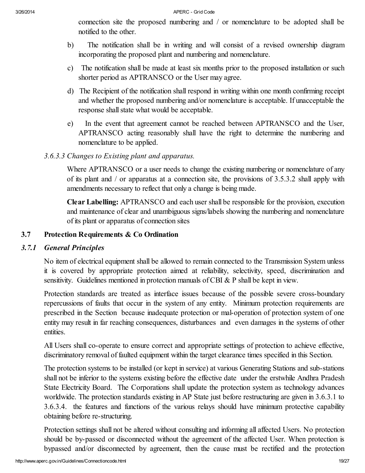connection site the proposed numbering and / or nomenclature to be adopted shall be notified to the other.

- b) The notification shall be in writing and will consist of a revised ownership diagram incorporating the proposed plant and numbering and nomenclature.
- c) The notification shall be made at least six months prior to the proposed installation or such shorter period as APTRANSCO or the User may agree.
- d) The Recipient of the notification shall respond in writing within one month confirming receipt and whether the proposed numbering and/or nomenclature is acceptable. If unacceptable the response shall state what would be acceptable.
- e) In the event that agreement cannot be reached between APTRANSCO and the User, APTRANSCO acting reasonably shall have the right to determine the numbering and nomenclature to be applied.

# *3.6.3.3 Changes to Existing plant and apparatus.*

Where APTRANSCO or a user needs to change the existing numbering or nomenclature of any of its plant and / or apparatus at a connection site, the provisions of 3.5.3.2 shall apply with amendments necessary to reflect that only a change is being made.

Clear Labelling: APTRANSCO and each user shall be responsible for the provision, execution and maintenance of clear and unambiguous signs/labels showing the numbering and nomenclature of its plant or apparatus of connection sites

# <span id="page-18-0"></span>3.7 Protection Requirements & Co Ordination

# *3.7.1 General Principles*

<span id="page-18-1"></span>No item of electrical equipment shall be allowed to remain connected to the Transmission System unless it is covered by appropriate protection aimed at reliability, selectivity, speed, discrimination and sensitivity. Guidelines mentioned in protection manuals of CBI & P shall be kept in view.

Protection standards are treated as interface issues because of the possible severe cross-boundary repercussions of faults that occur in the system of any entity. Minimum protection requirements are prescribed in the Section because inadequate protection or mal-operation of protection system of one entity may result in far reaching consequences, disturbances and even damages in the systems of other entities.

All Users shall co-operate to ensure correct and appropriate settings of protection to achieve effective, discriminatory removal of faulted equipment within the target clearance times specified in this Section.

The protection systems to be installed (or kept in service) at various Generating Stations and sub-stations shall not be inferior to the systems existing before the effective date under the erstwhile Andhra Pradesh State Electricity Board. The Corporations shall update the protection system as technology advances worldwide. The protection standards existing in AP State just before restructuring are given in 3.6.3.1 to 3.6.3.4. the features and functions of the various relays should have minimum protective capability obtaining before re-structuring.

Protection settings shall not be altered without consulting and informing all affected Users. No protection should be by-passed or disconnected without the agreement of the affected User. When protection is bypassed and/or disconnected by agreement, then the cause must be rectified and the protection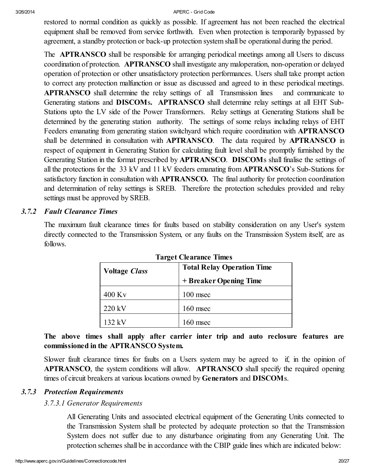restored to normal condition as quickly as possible. If agreement has not been reached the electrical equipment shall be removed from service forthwith. Even when protection is temporarily bypassed by agreement, a standby protection or back-up protection system shall be operational during the period.

The **APTRANSCO** shall be responsible for arranging periodical meetings among all Users to discuss coordination of protection. APTRANSCO shall investigate any maloperation, non-operation or delayed operation of protection or other unsatisfactory protection performances. Users shall take prompt action to correct any protection malfunction or issue as discussed and agreed to in these periodical meetings. APTRANSCO shall determine the relay settings of all Transmission lines and communicate to Generating stations and DISCOMs. APTRANSCO shall determine relay settings at all EHT Sub-Stations upto the LV side of the Power Transformers. Relay settings at Generating Stations shall be determined by the generating station authority. The settings of some relays including relays of EHT Feeders emanating from generating station switchyard which require coordination with APTRANSCO shall be determined in consultation with APTRANSCO. The data required by APTRANSCO in respect of equipment in Generating Station for calculating fault level shall be promptly furnished by the Generating Station in the format prescribed by APTRANSCO. DISCOMs shall finalise the settings of all the protections for the 33 kV and 11 kV feeders emanating from APTRANSCO's Sub-Stations for satisfactory function in consultation with APTRANSCO. The final authority for protection coordination and determination of relay settings is SREB. Therefore the protection schedules provided and relay settings must be approved by SREB.

# *3.7.2 Fault Clearance Times*

<span id="page-19-0"></span>The maximum fault clearance times for faults based on stability consideration on any User's system directly connected to the Transmission System, or any faults on the Transmission System itself, are as follows.

| <b>Voltage Class</b> | <b>Total Relay Operation Time</b> |
|----------------------|-----------------------------------|
|                      | + Breaker Opening Time            |
| $400$ Ky             | $100$ msec                        |
| 220 kV               | $160$ msec                        |
| 132 kV               | ) msec                            |

Target Clearance Times

The above times shall apply after carrier inter trip and auto reclosure features are commissioned in the APTRANSCO System.

Slower fault clearance times for faults on a Users system may be agreed to if, in the opinion of APTRANSCO, the system conditions will allow. APTRANSCO shall specify the required opening times of circuit breakers at various locations owned by Generators and DISCOMs.

#### *3.7.3 Protection Requirements*

#### *3.7.3.1 Generator Requirements*

All Generating Units and associated electrical equipment of the Generating Units connected to the Transmission System shall be protected by adequate protection so that the Transmission System does not suffer due to any disturbance originating from any Generating Unit. The protection schemes shall be in accordance with the CBIP guide lines which are indicated below: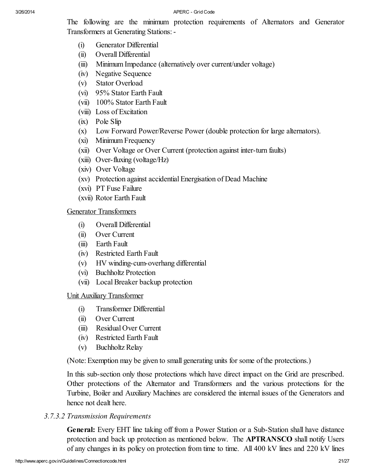The following are the minimum protection requirements of Alternators and Generator Transformers at Generating Stations:-

- (i) Generator Differential
- (ii) Overall Differential
- (iii) Minimum Impedance (alternatively over current/under voltage)
- (iv) Negative Sequence
- (v) Stator Overload
- (vi) 95% Stator Earth Fault
- (vii) 100% Stator Earth Fault
- (viii) Loss of Excitation
- (ix) Pole Slip
- (x) Low Forward Power/Reverse Power (double protection for large alternators).
- (xi) Minimum Frequency
- (xii) Over Voltage or Over Current (protection against inter-turn faults)
- (xiii) Over-fluxing (voltage/Hz)
- (xiv) Over Voltage
- (xv) Protection against accidential Energisation of Dead Machine
- (xvi) PT Fuse Failure
- (xvii) Rotor Earth Fault

#### Generator Transformers

- (i) Overall Differential
- (ii) Over Current
- (iii) Earth Fault
- (iv) Restricted Earth Fault
- (v) HV winding-cum-overhang differential
- (vi) Buchholtz Protection
- (vii) LocalBreaker backup protection

#### Unit Auxiliary Transformer

- (i) Transformer Differential
- (ii) Over Current
- (iii) Residual Over Current
- (iv) Restricted Earth Fault
- (v) Buchholtz Relay

(Note: Exemption may be given to small generating units for some of the protections.)

In this sub-section only those protections which have direct impact on the Grid are prescribed. Other protections of the Alternator and Transformers and the various protections for the Turbine, Boiler and Auxiliary Machines are considered the internal issues of the Generators and hence not dealt here.

# *3.7.3.2 Transmission Requirements*

General: Every EHT line taking off from a Power Station or a Sub-Station shall have distance protection and back up protection as mentioned below. The APTRANSCO shall notify Users of any changes in its policy on protection from time to time. All 400 kV lines and 220 kV lines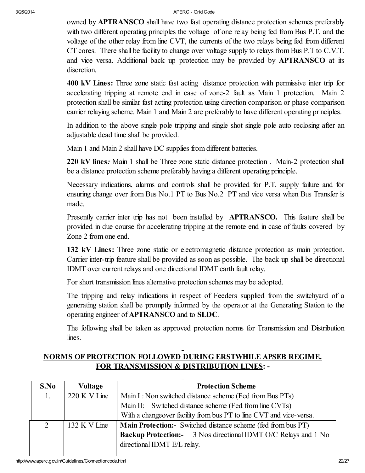owned by APTRANSCO shall have two fast operating distance protection schemes preferably with two different operating principles the voltage of one relay being fed from Bus P.T. and the voltage of the other relay from line CVT, the currents of the two relays being fed from different CT cores. There shall be facility to change over voltage supply to relays from Bus P.T to C.V.T. and vice versa. Additional back up protection may be provided by APTRANSCO at its discretion.

400 kV Lines: Three zone static fast acting distance protection with permissive inter trip for accelerating tripping at remote end in case of zone-2 fault as Main 1 protection. Main 2 protection shall be similar fast acting protection using direction comparison or phase comparison carrier relaying scheme. Main 1 and Main 2 are preferably to have different operating principles.

In addition to the above single pole tripping and single shot single pole auto reclosing after an adjustable dead time shall be provided.

Main 1 and Main 2 shall have DC supplies from different batteries.

220 kV lines*:* Main 1 shall be Three zone static distance protection . Main-2 protection shall be a distance protection scheme preferably having a different operating principle.

Necessary indications, alarms and controls shall be provided for P.T. supply failure and for ensuring change over from Bus No.1 PT to Bus No.2 PT and vice versa when Bus Transfer is made.

Presently carrier inter trip has not been installed by **APTRANSCO**. This feature shall be provided in due course for accelerating tripping at the remote end in case of faults covered by Zone 2 from one end.

132 kV Lines: Three zone static or electromagnetic distance protection as main protection. Carrier inter-trip feature shall be provided as soon as possible. The back up shall be directional IDMT over current relays and one directional IDMT earth fault relay.

For short transmission lines alternative protection schemes may be adopted.

The tripping and relay indications in respect of Feeders supplied from the switchyard of a generating station shall be promptly informed by the operator at the Generating Station to the operating engineer of APTRANSCO and to SLDC.

The following shall be taken as approved protection norms for Transmission and Distribution lines.

# NORMS OF PROTECTION FOLLOWED DURING ERSTWHILE APSEB REGIME. FOR TRANSMISSION & DISTRIBUTION LINES: -

| S.No           | Voltage        | <b>Protection Scheme</b>                                             |  |
|----------------|----------------|----------------------------------------------------------------------|--|
| 1.             | $220 K V$ Line | Main I: Non switched distance scheme (Fed from Bus PTs)              |  |
|                |                | Main II: Switched distance scheme (Fed from line CVTs)               |  |
|                |                | With a change over facility from bus PT to line CVT and vice-versa.  |  |
| $\overline{2}$ | 132 K V Line   | <b>Main Protection:</b> Switched distance scheme (fed from bus PT)   |  |
|                |                | <b>Backup Protection:</b> 3 Nos directional IDMT O/C Relays and 1 No |  |
|                |                | directional IDMT E/L relay.                                          |  |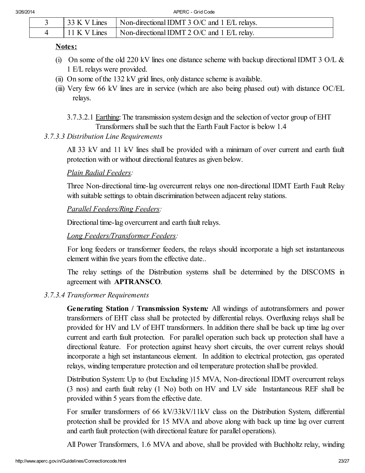|              | 133 K V Lines Non-directional IDMT 3 O/C and 1 E/L relays. |
|--------------|------------------------------------------------------------|
| 11 K V Lines | $\blacksquare$ Non-directional IDMT 2 O/C and 1 E/L relay. |

#### Notes:

- (i) On some of the old 220 kV lines one distance scheme with backup directional IDMT 3 O/L  $\&$ 1 E/L relays were provided.
- (ii) On some of the 132 kV grid lines, only distance scheme is available.
- (iii) Very few 66 kV lines are in service (which are also being phased out) with distance OC/EL relays.
	- 3.7.3.2.1 Earthing: The transmission system design and the selection of vector group of EHT Transformers shall be such that the Earth Fault Factor is below 1.4

# *3.7.3.3 Distribution Line Requirements*

All 33 kV and 11 kV lines shall be provided with a minimum of over current and earth fault protection with or without directional features as given below.

# *Plain Radial Feeders:*

Three Non-directional time-lag overcurrent relays one non-directional IDMT Earth Fault Relay with suitable settings to obtain discrimination between adjacent relay stations.

# *Parallel Feeders/Ring Feeders:*

Directional time-lag overcurrent and earth fault relays.

# *Long Feeders/Transformer Feeders:*

For long feeders or transformer feeders, the relays should incorporate a high set instantaneous element within five years from the effective date..

The relay settings of the Distribution systems shall be determined by the DISCOMS in agreement with APTRANSCO.

# *3.7.3.4 Transformer Requirements*

Generating Station / Transmission System*:* All windings of autotransformers and power transformers of EHT class shall be protected by differential relays. Overfluxing relays shall be provided for HV and LV of EHT transformers. In addition there shall be back up time lag over current and earth fault protection. For parallel operation such back up protection shall have a directional feature. For protection against heavy short circuits, the over current relays should incorporate a high set instantaneous element. In addition to electrical protection, gas operated relays, winding temperature protection and oil temperature protection shall be provided.

Distribution System: Up to (but Excluding )15 MVA, Non-directional IDMT overcurrent relays (3 nos) and earth fault relay (1 No) both on HV and LV side Instantaneous REF shall be provided within 5 years from the effective date.

For smaller transformers of 66 kV/33kV/11kV class on the Distribution System, differential protection shall be provided for 15 MVA and above along with back up time lag over current and earth fault protection (with directional feature for parallel operations).

All Power Transformers, 1.6 MVA and above, shall be provided with Buchholtz relay, winding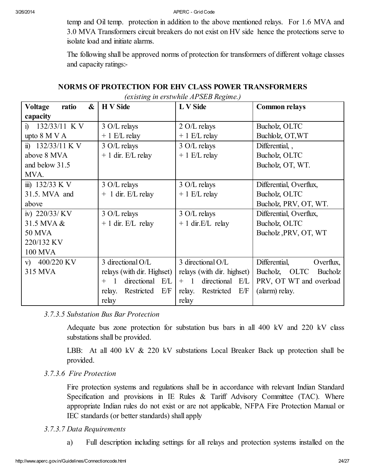temp and Oil temp. protection in addition to the above mentioned relays. For 1.6 MVA and 3.0 MVA Transformers circuit breakers do not exist on HV side hence the protections serve to isolate load and initiate alarms.

The following shall be approved norms of protection for transformers of different voltage classes and capacity ratings:-

*(existing in erstwhile APSEB Regime.)*

| ratio<br>&<br><b>Voltage</b> | <b>H</b> V Side                          | L V Side                    | <b>Common relays</b>       |  |
|------------------------------|------------------------------------------|-----------------------------|----------------------------|--|
| capacity                     |                                          |                             |                            |  |
| i) $132/33/11$ K V           | 3 O/L relays                             | 2 O/L relays                | Bucholz, OLTC              |  |
| upto 8 M V A                 | $+ 1$ E/L relay                          | $+ 1$ E/L relay             | Buchlolz, OT, WT           |  |
| ii) $132/33/11$ K V          | 3 O/L relays                             | 3 O/L relays                | Differential,              |  |
| above 8 MVA                  | $+1$ dir. E/L relay                      | $+ 1$ E/L relay             | Bucholz, OLTC              |  |
| and below 31.5               |                                          |                             | Bucholz, OT, WT.           |  |
| MVA.                         |                                          |                             |                            |  |
| iii) $132/33 \text{ K V}$    | 3 O/L relays<br>3 O/L relays             |                             | Differential, Overflux,    |  |
| 31.5. MVA and                | $+$ 1 dir. E/L relay                     | $+1$ E/L relay              | Bucholz, OLTC              |  |
| above                        |                                          |                             | Bucholz, PRV, OT, WT.      |  |
| iv) $220/33/KV$              | 3 O/L relays                             | 3 O/L relays                | Differential, Overflux,    |  |
| 31.5 MVA &                   | $+1$ dir. E/L relay                      | $+1$ dir. E/L relay         | Bucholz, OLTC              |  |
| <b>50 MVA</b>                |                                          |                             | Bucholz, PRV, OT, WT       |  |
| 220/132 KV                   |                                          |                             |                            |  |
| <b>100 MVA</b>               |                                          |                             |                            |  |
| v) $400/220$ KV              | 3 directional O/L                        | 3 directional O/L           | Differential,<br>Overflux. |  |
| 315 MVA                      | relays (with dir. Highset)               | relays (with dir. highset)  | Bucholz, OLTC<br>Bucholz   |  |
|                              | directional E/L<br>$\overline{1}$<br>$+$ | directional E/L<br>$+$ 1    | PRV, OT WT and overload    |  |
|                              | Restricted<br>E/F<br>relay.              | Restricted<br>E/F<br>relay. | (alarm) relay.             |  |
|                              | relay                                    | relay                       |                            |  |

# *3.7.3.5 Substation Bus Bar Protection*

Adequate bus zone protection for substation bus bars in all 400 kV and 220 kV class substations shall be provided.

LBB: At all 400 kV & 220 kV substations Local Breaker Back up protection shall be provided.

#### *3.7.3.6 Fire Protection*

Fire protection systems and regulations shall be in accordance with relevant Indian Standard Specification and provisions in IE Rules  $\&$  Tariff Advisory Committee (TAC). Where appropriate Indian rules do not exist or are not applicable, NFPA Fire Protection Manual or IEC standards (or better standards) shall apply

#### *3.7.3.7 Data Requirements*

a) Full description including settings for all relays and protection systems installed on the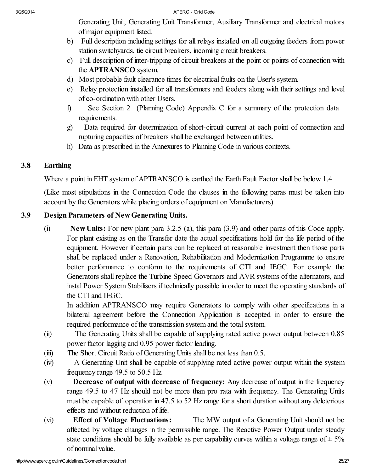Generating Unit, Generating Unit Transformer, Auxiliary Transformer and electrical motors of major equipment listed.

- b) Full description including settings for all relays installed on all outgoing feeders from power station switchyards, tie circuit breakers, incoming circuit breakers.
- c) Full description of inter-tripping of circuit breakers at the point or points of connection with the APTRANSCO system.
- d) Most probable fault clearance times for electrical faults on the User's system.
- e) Relay protection installed for all transformers and feeders along with their settings and level of co-ordination with other Users.
- f) See Section 2 (Planning Code) Appendix C for a summary of the protection data requirements.
- g) Data required for determination of short-circuit current at each point of connection and rupturing capacities of breakers shall be exchanged between utilities.
- h) Data as prescribed in the Annexures to Planning Code in various contexts.

# 3.8 Earthing

<span id="page-24-0"></span>Where a point in EHT system of APTRANSCO is earthed the Earth Fault Factor shall be below 1.4

(Like most stipulations in the Connection Code the clauses in the following paras must be taken into account by the Generators while placing orders of equipment on Manufacturers)

# 3.9 Design Parameters of NewGenerating Units.

<span id="page-24-1"></span>(i) New Units: For new plant para 3.2.5 (a), this para (3.9) and other paras of this Code apply. For plant existing as on the Transfer date the actual specifications hold for the life period of the equipment. However if certain parts can be replaced at reasonable investment then those parts shall be replaced under a Renovation, Rehabilitation and Modernization Programme to ensure better performance to conform to the requirements of CTI and IEGC. For example the Generators shall replace the Turbine Speed Governors and AVR systems of the alternators, and instal Power System Stabilisers if technically possible in order to meet the operating standards of the CTI and IEGC.

In addition APTRANSCO may require Generators to comply with other specifications in a bilateral agreement before the Connection Application is accepted in order to ensure the required performance of the transmission system and the total system.

- (ii) The Generating Units shall be capable of supplying rated active power output between 0.85 power factor lagging and 0.95 power factor leading.
- (iii) The Short Circuit Ratio of Generating Units shall be not less than 0.5.
- (iv) A Generating Unit shall be capable of supplying rated active power output within the system frequency range 49.5 to 50.5 Hz.
- (v) Decrease of output with decrease of frequency: Any decrease of output in the frequency range 49.5 to 47 Hz should not be more than pro rata with frequency. The Generating Units must be capable of operation in 47.5 to 52 Hz range for a short duration without any deleterious effects and without reduction of life.
- (vi) Effect of Voltage Fluctuations: The MW output of a Generating Unit should not be affected by voltage changes in the permissible range. The Reactive Power Output under steady state conditions should be fully available as per capability curves within a voltage range of  $\pm$  5% of nominal value.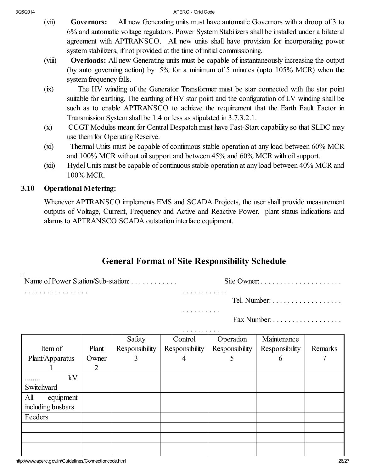- (vii) Governors: All new Generating units must have automatic Governors with a droop of 3 to 6% and automatic voltage regulators. Power System Stabilizers shall be installed under a bilateral agreement with APTRANSCO. All new units shall have provision for incorporating power system stabilizers, if not provided at the time of initial commissioning.
- (viii) Overloads: All new Generating units must be capable of instantaneously increasing the output (by auto governing action) by 5% for a minimum of 5 minutes (upto 105% MCR) when the system frequency falls.
- (ix) The HV winding of the Generator Transformer must be star connected with the star point suitable for earthing. The earthing of HV star point and the configuration of LV winding shall be such as to enable APTRANSCO to achieve the requirement that the Earth Fault Factor in Transmission System shall be 1.4 or less as stipulated in 3.7.3.2.1.
- (x) CCGT Modules meant for Central Despatch must have Fast-Start capability so that SLDC may use them for Operating Reserve.
- (xi) Thermal Units must be capable of continuous stable operation at any load between 60% MCR and 100% MCR without oil support and between 45% and 60% MCR with oil support.
- (xii) Hydel Units must be capable of continuous stable operation at any load between 40% MCR and 100% MCR.

# <span id="page-25-0"></span>3.10 Operational Metering:

Whenever APTRANSCO implements EMS and SCADA Projects, the user shall provide measurement outputs of Voltage, Current, Frequency and Active and Reactive Power, plant status indications and alarms to APTRANSCO SCADA outstation interface equipment.

# General Format of Site Responsibility Schedule

. . . . . . . . . .

| Name of Power Station/Sub-station: | $\mathsf{S}$ tte $\mathsf{S}$ |  |  |
|------------------------------------|-------------------------------|--|--|
| .                                  | .                             |  |  |

. . . . . . . . . . . . . . . . .

Tel. Number: . . . . . . . . . . . . . . . . . .

Fax Number: . . . . . . . . . . . . . . . . . .

|                   | .     |                |                |                |                |         |
|-------------------|-------|----------------|----------------|----------------|----------------|---------|
|                   |       | Safety         | Control        | Operation      | Maintenance    |         |
| Item of           | Plant | Responsibility | Responsibility | Responsibility | Responsibility | Remarks |
| Plant/Apparatus   | Owner | 3              | 4              |                | 6              |         |
|                   | 2     |                |                |                |                |         |
| kV                |       |                |                |                |                |         |
| Switchyard        |       |                |                |                |                |         |
| All<br>equipment  |       |                |                |                |                |         |
| including busbars |       |                |                |                |                |         |
| Feeders           |       |                |                |                |                |         |
|                   |       |                |                |                |                |         |
|                   |       |                |                |                |                |         |
|                   |       |                |                |                |                |         |
|                   |       |                |                |                |                |         |